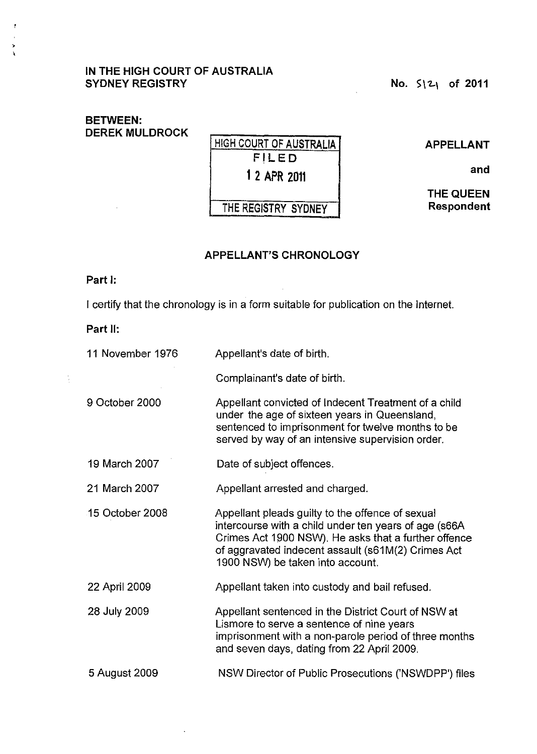#### IN THE HIGH COURT OF AUSTRALIA SYDNEY REGISTRY  $\blacksquare$  No.  $\blacksquare$   $\blacksquare$   $\blacksquare$  of 2011

 $\bar{\phantom{a}}$ 

## BETWEEN: DEREK MULDROCK

| <b>HIGH COURT OF AUSTRALIA:</b> |
|---------------------------------|
| FILED                           |
| 1 2 APR 2011                    |
| THE REGISTRY SYDNEY             |

APPELLANT

and

THE QUEEN Respondent

### APPELLANT'S CHRONOLOGY

 $\mathcal{A}$ 

#### Part I:

 $\overline{t}$ 

 $\rightarrow$  $\lambda$ 

I certify that the chronology is in a form suitable for publication on the Internet.

# Part II:

 $\frac{1}{2}$ 

| 11 November 1976 | Appellant's date of birth.                                                                                                                                                                                                                                   |
|------------------|--------------------------------------------------------------------------------------------------------------------------------------------------------------------------------------------------------------------------------------------------------------|
|                  | Complainant's date of birth.                                                                                                                                                                                                                                 |
| 9 October 2000   | Appellant convicted of Indecent Treatment of a child<br>under the age of sixteen years in Queensland,<br>sentenced to imprisonment for twelve months to be<br>served by way of an intensive supervision order.                                               |
| 19 March 2007    | Date of subject offences.                                                                                                                                                                                                                                    |
| 21 March 2007    | Appellant arrested and charged.                                                                                                                                                                                                                              |
| 15 October 2008  | Appellant pleads guilty to the offence of sexual<br>intercourse with a child under ten years of age (s66A)<br>Crimes Act 1900 NSW). He asks that a further offence<br>of aggravated indecent assault (s61M(2) Crimes Act<br>1900 NSW) be taken into account. |
| 22 April 2009    | Appellant taken into custody and bail refused.                                                                                                                                                                                                               |
| 28 July 2009     | Appellant sentenced in the District Court of NSW at<br>Lismore to serve a sentence of nine years<br>imprisonment with a non-parole period of three months<br>and seven days, dating from 22 April 2009.                                                      |
| 5 August 2009    | NSW Director of Public Prosecutions ('NSWDPP') files                                                                                                                                                                                                         |